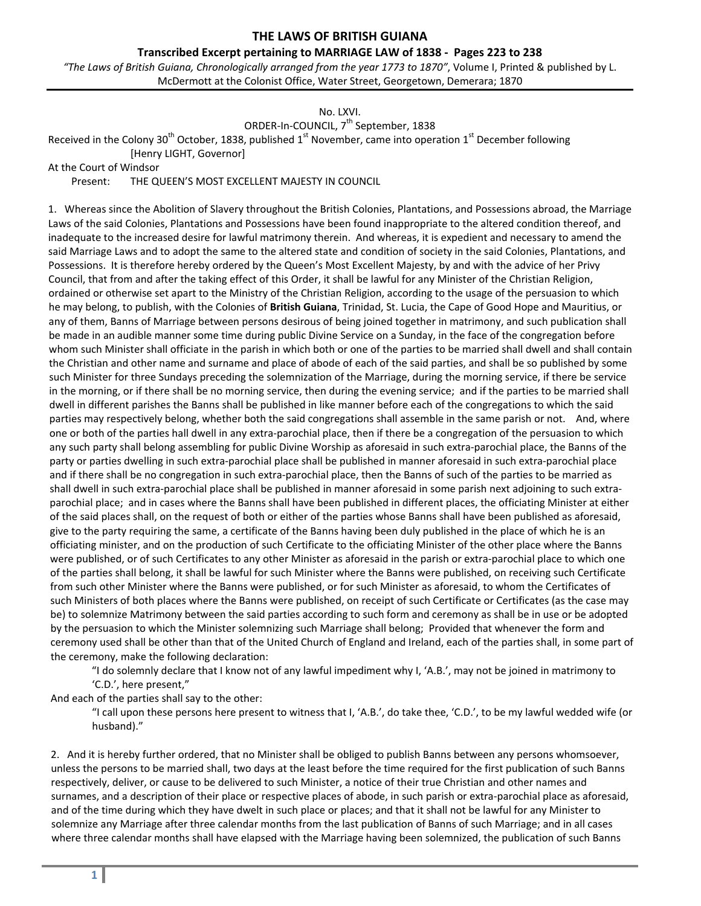#### **Transcribed Excerpt pertaining to MARRIAGE LAW of 1838 ‐ Pages 223 to 238**

*"The Laws of British Guiana, Chronologically arranged from the year 1773 to 1870"*, Volume I, Printed & published by L. McDermott at the Colonist Office, Water Street, Georgetown, Demerara; 1870

### No. LXVI.

ORDER-In-COUNCIL, 7<sup>th</sup> September, 1838

Received in the Colony 30<sup>th</sup> October, 1838, published 1<sup>st</sup> November, came into operation 1<sup>st</sup> December following [Henry LIGHT, Governor]

At the Court of Windsor

Present: THE QUEEN'S MOST EXCELLENT MAJESTY IN COUNCIL

1. Whereas since the Abolition of Slavery throughout the British Colonies, Plantations, and Possessions abroad, the Marriage Laws of the said Colonies, Plantations and Possessions have been found inappropriate to the altered condition thereof, and inadequate to the increased desire for lawful matrimony therein. And whereas, it is expedient and necessary to amend the said Marriage Laws and to adopt the same to the altered state and condition of society in the said Colonies, Plantations, and Possessions. It is therefore hereby ordered by the Queen's Most Excellent Majesty, by and with the advice of her Privy Council, that from and after the taking effect of this Order, it shall be lawful for any Minister of the Christian Religion, ordained or otherwise set apart to the Ministry of the Christian Religion, according to the usage of the persuasion to which he may belong, to publish, with the Colonies of **British Guiana**, Trinidad, St. Lucia, the Cape of Good Hope and Mauritius, or any of them, Banns of Marriage between persons desirous of being joined together in matrimony, and such publication shall be made in an audible manner some time during public Divine Service on a Sunday, in the face of the congregation before whom such Minister shall officiate in the parish in which both or one of the parties to be married shall dwell and shall contain the Christian and other name and surname and place of abode of each of the said parties, and shall be so published by some such Minister for three Sundays preceding the solemnization of the Marriage, during the morning service, if there be service in the morning, or if there shall be no morning service, then during the evening service; and if the parties to be married shall dwell in different parishes the Banns shall be published in like manner before each of the congregations to which the said parties may respectively belong, whether both the said congregations shall assemble in the same parish or not. And, where one or both of the parties hall dwell in any extra‐parochial place, then if there be a congregation of the persuasion to which any such party shall belong assembling for public Divine Worship as aforesaid in such extra‐parochial place, the Banns of the party or parties dwelling in such extra‐parochial place shall be published in manner aforesaid in such extra‐parochial place and if there shall be no congregation in such extra-parochial place, then the Banns of such of the parties to be married as shall dwell in such extra-parochial place shall be published in manner aforesaid in some parish next adjoining to such extraparochial place; and in cases where the Banns shall have been published in different places, the officiating Minister at either of the said places shall, on the request of both or either of the parties whose Banns shall have been published as aforesaid, give to the party requiring the same, a certificate of the Banns having been duly published in the place of which he is an officiating minister, and on the production of such Certificate to the officiating Minister of the other place where the Banns were published, or of such Certificates to any other Minister as aforesaid in the parish or extra-parochial place to which one of the parties shall belong, it shall be lawful for such Minister where the Banns were published, on receiving such Certificate from such other Minister where the Banns were published, or for such Minister as aforesaid, to whom the Certificates of such Ministers of both places where the Banns were published, on receipt of such Certificate or Certificates (as the case may be) to solemnize Matrimony between the said parties according to such form and ceremony as shall be in use or be adopted by the persuasion to which the Minister solemnizing such Marriage shall belong; Provided that whenever the form and ceremony used shall be other than that of the United Church of England and Ireland, each of the parties shall, in some part of the ceremony, make the following declaration:

"I do solemnly declare that I know not of any lawful impediment why I, 'A.B.', may not be joined in matrimony to 'C.D.', here present,"

And each of the parties shall say to the other:

"I call upon these persons here present to witness that I, 'A.B.', do take thee, 'C.D.', to be my lawful wedded wife (or husband)."

2. And it is hereby further ordered, that no Minister shall be obliged to publish Banns between any persons whomsoever, unless the persons to be married shall, two days at the least before the time required for the first publication of such Banns respectively, deliver, or cause to be delivered to such Minister, a notice of their true Christian and other names and surnames, and a description of their place or respective places of abode, in such parish or extra‐parochial place as aforesaid, and of the time during which they have dwelt in such place or places; and that it shall not be lawful for any Minister to solemnize any Marriage after three calendar months from the last publication of Banns of such Marriage; and in all cases where three calendar months shall have elapsed with the Marriage having been solemnized, the publication of such Banns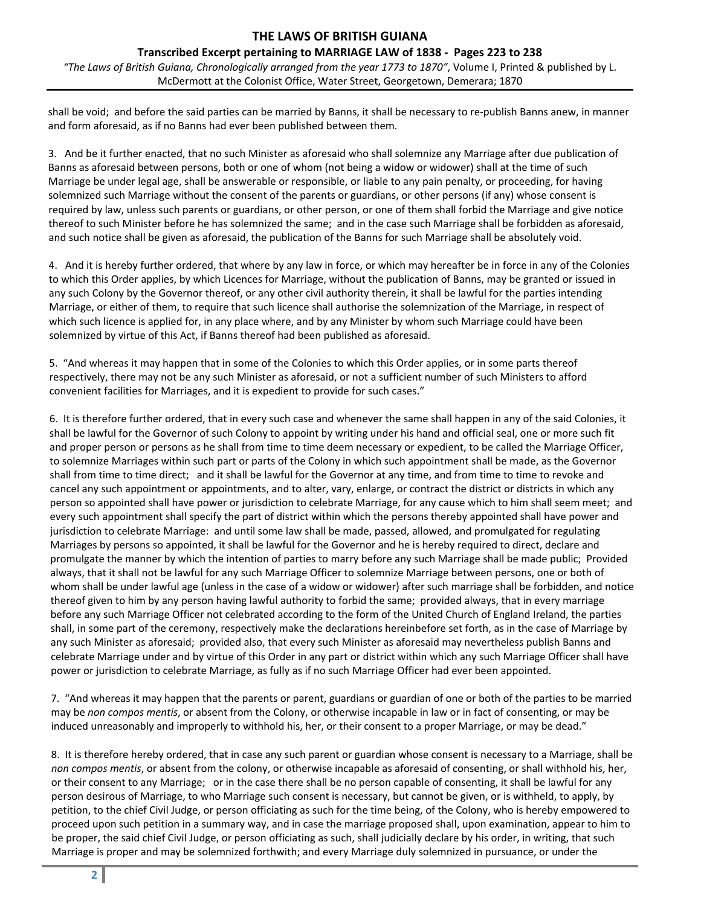### **Transcribed Excerpt pertaining to MARRIAGE LAW of 1838 ‐ Pages 223 to 238**

*"The Laws of British Guiana, Chronologically arranged from the year 1773 to 1870"*, Volume I, Printed & published by L. McDermott at the Colonist Office, Water Street, Georgetown, Demerara; 1870

shall be void; and before the said parties can be married by Banns, it shall be necessary to re‐publish Banns anew, in manner and form aforesaid, as if no Banns had ever been published between them.

3. And be it further enacted, that no such Minister as aforesaid who shall solemnize any Marriage after due publication of Banns as aforesaid between persons, both or one of whom (not being a widow or widower) shall at the time of such Marriage be under legal age, shall be answerable or responsible, or liable to any pain penalty, or proceeding, for having solemnized such Marriage without the consent of the parents or guardians, or other persons (if any) whose consent is required by law, unless such parents or guardians, or other person, or one of them shall forbid the Marriage and give notice thereof to such Minister before he has solemnized the same; and in the case such Marriage shall be forbidden as aforesaid, and such notice shall be given as aforesaid, the publication of the Banns for such Marriage shall be absolutely void.

4. And it is hereby further ordered, that where by any law in force, or which may hereafter be in force in any of the Colonies to which this Order applies, by which Licences for Marriage, without the publication of Banns, may be granted or issued in any such Colony by the Governor thereof, or any other civil authority therein, it shall be lawful for the parties intending Marriage, or either of them, to require that such licence shall authorise the solemnization of the Marriage, in respect of which such licence is applied for, in any place where, and by any Minister by whom such Marriage could have been solemnized by virtue of this Act, if Banns thereof had been published as aforesaid.

5. "And whereas it may happen that in some of the Colonies to which this Order applies, or in some parts thereof respectively, there may not be any such Minister as aforesaid, or not a sufficient number of such Ministers to afford convenient facilities for Marriages, and it is expedient to provide for such cases."

6. It is therefore further ordered, that in every such case and whenever the same shall happen in any of the said Colonies, it shall be lawful for the Governor of such Colony to appoint by writing under his hand and official seal, one or more such fit and proper person or persons as he shall from time to time deem necessary or expedient, to be called the Marriage Officer, to solemnize Marriages within such part or parts of the Colony in which such appointment shall be made, as the Governor shall from time to time direct; and it shall be lawful for the Governor at any time, and from time to time to revoke and cancel any such appointment or appointments, and to alter, vary, enlarge, or contract the district or districts in which any person so appointed shall have power or jurisdiction to celebrate Marriage, for any cause which to him shall seem meet; and every such appointment shall specify the part of district within which the persons thereby appointed shall have power and jurisdiction to celebrate Marriage: and until some law shall be made, passed, allowed, and promulgated for regulating Marriages by persons so appointed, it shall be lawful for the Governor and he is hereby required to direct, declare and promulgate the manner by which the intention of parties to marry before any such Marriage shall be made public; Provided always, that it shall not be lawful for any such Marriage Officer to solemnize Marriage between persons, one or both of whom shall be under lawful age (unless in the case of a widow or widower) after such marriage shall be forbidden, and notice thereof given to him by any person having lawful authority to forbid the same; provided always, that in every marriage before any such Marriage Officer not celebrated according to the form of the United Church of England Ireland, the parties shall, in some part of the ceremony, respectively make the declarations hereinbefore set forth, as in the case of Marriage by any such Minister as aforesaid; provided also, that every such Minister as aforesaid may nevertheless publish Banns and celebrate Marriage under and by virtue of this Order in any part or district within which any such Marriage Officer shall have power or jurisdiction to celebrate Marriage, as fully as if no such Marriage Officer had ever been appointed.

7. "And whereas it may happen that the parents or parent, guardians or guardian of one or both of the parties to be married may be *non compos mentis*, or absent from the Colony, or otherwise incapable in law or in fact of consenting, or may be induced unreasonably and improperly to withhold his, her, or their consent to a proper Marriage, or may be dead."

8. It is therefore hereby ordered, that in case any such parent or guardian whose consent is necessary to a Marriage, shall be *non compos mentis*, or absent from the colony, or otherwise incapable as aforesaid of consenting, or shall withhold his, her, or their consent to any Marriage; or in the case there shall be no person capable of consenting, it shall be lawful for any person desirous of Marriage, to who Marriage such consent is necessary, but cannot be given, or is withheld, to apply, by petition, to the chief Civil Judge, or person officiating as such for the time being, of the Colony, who is hereby empowered to proceed upon such petition in a summary way, and in case the marriage proposed shall, upon examination, appear to him to be proper, the said chief Civil Judge, or person officiating as such, shall judicially declare by his order, in writing, that such Marriage is proper and may be solemnized forthwith; and every Marriage duly solemnized in pursuance, or under the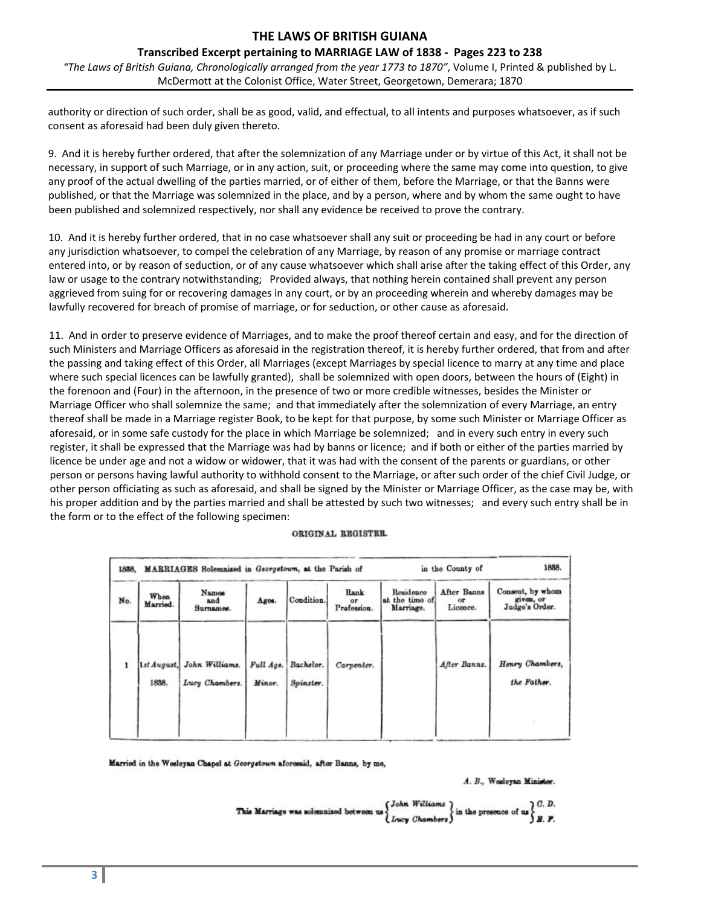## **Transcribed Excerpt pertaining to MARRIAGE LAW of 1838 ‐ Pages 223 to 238**

*"The Laws of British Guiana, Chronologically arranged from the year 1773 to 1870"*, Volume I, Printed & published by L. McDermott at the Colonist Office, Water Street, Georgetown, Demerara; 1870

authority or direction of such order, shall be as good, valid, and effectual, to all intents and purposes whatsoever, as if such consent as aforesaid had been duly given thereto.

9. And it is hereby further ordered, that after the solemnization of any Marriage under or by virtue of this Act, it shall not be necessary, in support of such Marriage, or in any action, suit, or proceeding where the same may come into question, to give any proof of the actual dwelling of the parties married, or of either of them, before the Marriage, or that the Banns were published, or that the Marriage was solemnized in the place, and by a person, where and by whom the same ought to have been published and solemnized respectively, nor shall any evidence be received to prove the contrary.

10. And it is hereby further ordered, that in no case whatsoever shall any suit or proceeding be had in any court or before any jurisdiction whatsoever, to compel the celebration of any Marriage, by reason of any promise or marriage contract entered into, or by reason of seduction, or of any cause whatsoever which shall arise after the taking effect of this Order, any law or usage to the contrary notwithstanding; Provided always, that nothing herein contained shall prevent any person aggrieved from suing for or recovering damages in any court, or by an proceeding wherein and whereby damages may be lawfully recovered for breach of promise of marriage, or for seduction, or other cause as aforesaid.

11. And in order to preserve evidence of Marriages, and to make the proof thereof certain and easy, and for the direction of such Ministers and Marriage Officers as aforesaid in the registration thereof, it is hereby further ordered, that from and after the passing and taking effect of this Order, all Marriages (except Marriages by special licence to marry at any time and place where such special licences can be lawfully granted), shall be solemnized with open doors, between the hours of (Eight) in the forenoon and (Four) in the afternoon, in the presence of two or more credible witnesses, besides the Minister or Marriage Officer who shall solemnize the same; and that immediately after the solemnization of every Marriage, an entry thereof shall be made in a Marriage register Book, to be kept for that purpose, by some such Minister or Marriage Officer as aforesaid, or in some safe custody for the place in which Marriage be solemnized; and in every such entry in every such register, it shall be expressed that the Marriage was had by banns or licence; and if both or either of the parties married by licence be under age and not a widow or widower, that it was had with the consent of the parents or guardians, or other person or persons having lawful authority to withhold consent to the Marriage, or after such order of the chief Civil Judge, or other person officiating as such as aforesaid, and shall be signed by the Minister or Marriage Officer, as the case may be, with his proper addition and by the parties married and shall be attested by such two witnesses; and every such entry shall be in the form or to the effect of the following specimen:

#### ORIGINAL REGISTER.

|     |                  | 1888. MARRIAGES Solemnized in Georgetown, at the Parish of |                     | in the County of       |                           |                                          |                                |                                                 |
|-----|------------------|------------------------------------------------------------|---------------------|------------------------|---------------------------|------------------------------------------|--------------------------------|-------------------------------------------------|
| No. | When<br>Married. | Namos<br>and<br>Surnamos.                                  | Ages.               | Condition.             | Rank<br>or<br>Profession. | Residence<br>at the time of<br>Marriage. | After Banns<br>or.<br>Licence. | Consent, by whom<br>given, or<br>Judge's Order. |
|     | 1838.            | 1st August, John Williams.<br>Lucy Chambers.               | Full Age.<br>Minor. | Bachelor.<br>Spinster. | Carpenter.                |                                          | After Banns.                   | Henry Chambers,<br>the Father.                  |
|     |                  |                                                            |                     |                        |                           |                                          |                                |                                                 |

Married in the Weeleyan Chapel at Georgstown aforceaid, after Banns, by me,

#### A. B., Wesleyan Minister.

This Marriage was solenmised between us 
$$
\begin{cases} John Williams \\ Lucy Chambers \end{cases}
$$
 in the preence of us 
$$
\begin{cases} C.D. \\ B.P. \end{cases}
$$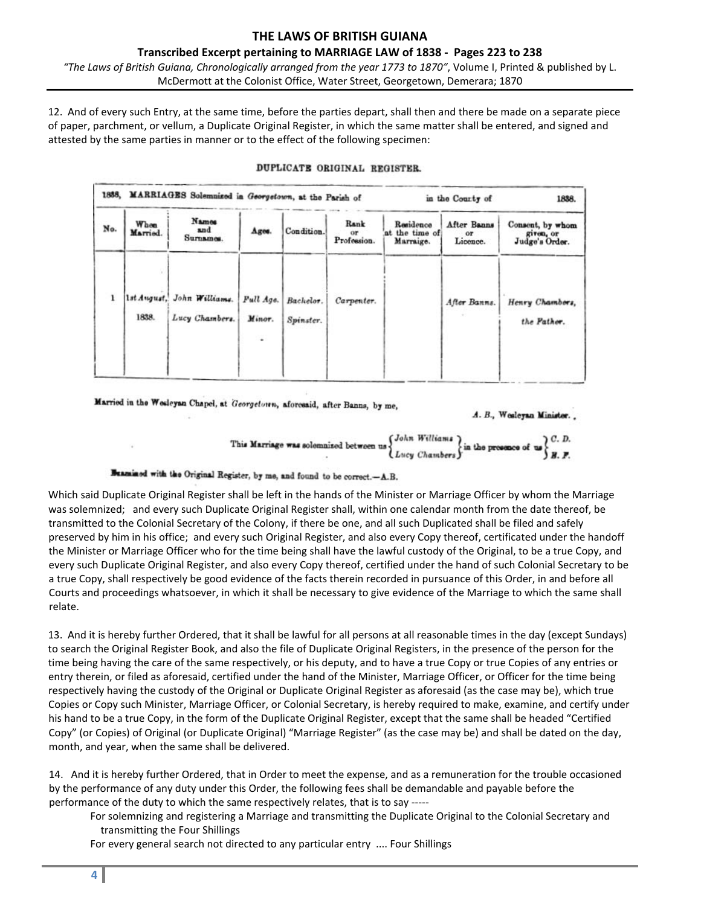### **THE LAWS OF BRITISH GUIANA Transcribed Excerpt pertaining to MARRIAGE LAW of 1838 ‐ Pages 223 to 238**

*"The Laws of British Guiana, Chronologically arranged from the year 1773 to 1870"*, Volume I, Printed & published by L. McDermott at the Colonist Office, Water Street, Georgetown, Demerara; 1870

12. And of every such Entry, at the same time, before the parties depart, shall then and there be made on a separate piece of paper, parchment, or vellum, a Duplicate Original Register, in which the same matter shall be entered, and signed and attested by the same parties in manner or to the effect of the following specimen:

|     | 1888.<br>MARRIAGES Solemnized in Georgetown, at the Parish of |                                              |                           |                        |                           |                                          | in the Courty of                     |                                                 |  |
|-----|---------------------------------------------------------------|----------------------------------------------|---------------------------|------------------------|---------------------------|------------------------------------------|--------------------------------------|-------------------------------------------------|--|
| No. | When<br>Married.                                              | Names<br>and<br>Surnames.                    | Ages.                     | Condition.             | Rank<br>or<br>Profession. | Residence<br>at the time of<br>Marraige. | After Banns<br><b>OF</b><br>Licence. | Consent, by whom<br>given, or<br>Judge's Order. |  |
|     | 1838.                                                         | 1st August, John Williams.<br>Lucy Chambers. | Full Age.<br>Minor.<br>÷, | Bachelor.<br>Spinster. | Carpenter.                |                                          | After Banns.                         | Henry Chambers,<br>the Pather.                  |  |

### DUPLICATE ORIGINAL REGISTER.

Married in the Wesleyan Chapel, at Georgetown, aforceaid, after Banns, by me,

A. B., Wesleyan Minister..

This Marriage was solomnized between us 
$$
\left\{\n \begin{array}{l}\n John
$$
 Williams\n \end{array}\n \right\}\n \text{in the presence of us} C.D.\n \quad B. F.

# Beamined with the Original Register, by me, and found to be correct.-A.B.

Which said Duplicate Original Register shall be left in the hands of the Minister or Marriage Officer by whom the Marriage was solemnized; and every such Duplicate Original Register shall, within one calendar month from the date thereof, be transmitted to the Colonial Secretary of the Colony, if there be one, and all such Duplicated shall be filed and safely preserved by him in his office; and every such Original Register, and also every Copy thereof, certificated under the handoff the Minister or Marriage Officer who for the time being shall have the lawful custody of the Original, to be a true Copy, and every such Duplicate Original Register, and also every Copy thereof, certified under the hand of such Colonial Secretary to be a true Copy, shall respectively be good evidence of the facts therein recorded in pursuance of this Order, in and before all Courts and proceedings whatsoever, in which it shall be necessary to give evidence of the Marriage to which the same shall relate.

13. And it is hereby further Ordered, that it shall be lawful for all persons at all reasonable times in the day (except Sundays) to search the Original Register Book, and also the file of Duplicate Original Registers, in the presence of the person for the time being having the care of the same respectively, or his deputy, and to have a true Copy or true Copies of any entries or entry therein, or filed as aforesaid, certified under the hand of the Minister, Marriage Officer, or Officer for the time being respectively having the custody of the Original or Duplicate Original Register as aforesaid (as the case may be), which true Copies or Copy such Minister, Marriage Officer, or Colonial Secretary, is hereby required to make, examine, and certify under his hand to be a true Copy, in the form of the Duplicate Original Register, except that the same shall be headed "Certified Copy" (or Copies) of Original (or Duplicate Original) "Marriage Register" (as the case may be) and shall be dated on the day, month, and year, when the same shall be delivered.

14. And it is hereby further Ordered, that in Order to meet the expense, and as a remuneration for the trouble occasioned by the performance of any duty under this Order, the following fees shall be demandable and payable before the performance of the duty to which the same respectively relates, that is to say ‐‐‐‐‐

For solemnizing and registering a Marriage and transmitting the Duplicate Original to the Colonial Secretary and transmitting the Four Shillings

For every general search not directed to any particular entry .... Four Shillings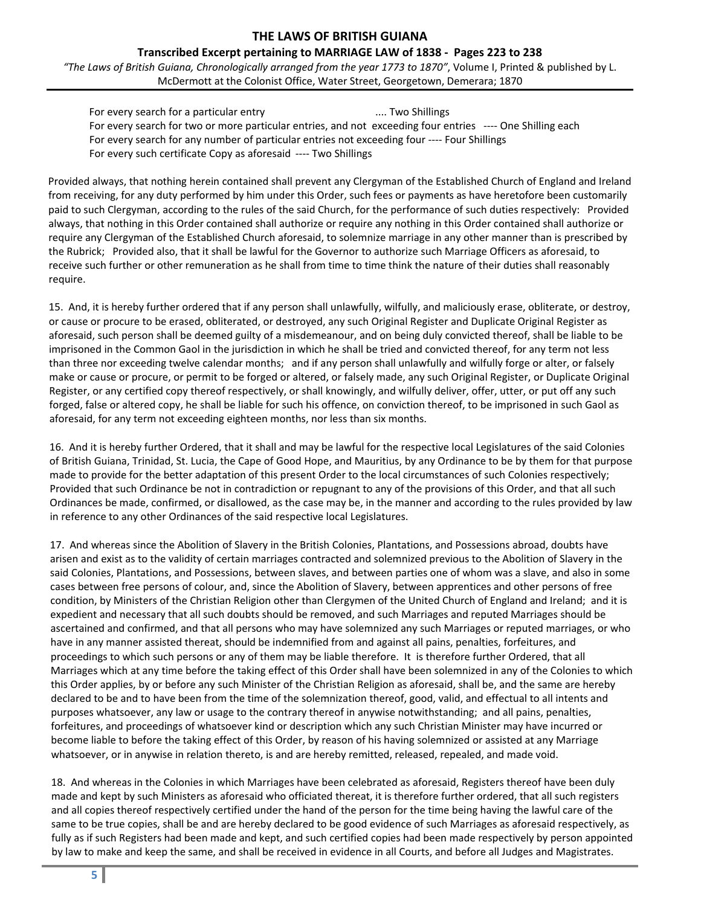**Transcribed Excerpt pertaining to MARRIAGE LAW of 1838 ‐ Pages 223 to 238**

*"The Laws of British Guiana, Chronologically arranged from the year 1773 to 1870"*, Volume I, Printed & published by L. McDermott at the Colonist Office, Water Street, Georgetown, Demerara; 1870

For every search for a particular entry *Box 1* and **EV** and **EV** and **EV** and **EV** and **EV** and **EV** and **EV** and **EV** and **EV** and **EV** and **EV** and **EV** and **EV** and **EV** and **EV** and **EV** and **EV** and **EV** and **EV** a For every search for two or more particular entries, and not exceeding four entries ‐‐‐‐ One Shilling each For every search for any number of particular entries not exceeding four ‐‐‐‐ Four Shillings For every such certificate Copy as aforesaid ‐‐‐‐ Two Shillings

Provided always, that nothing herein contained shall prevent any Clergyman of the Established Church of England and Ireland from receiving, for any duty performed by him under this Order, such fees or payments as have heretofore been customarily paid to such Clergyman, according to the rules of the said Church, for the performance of such duties respectively: Provided always, that nothing in this Order contained shall authorize or require any nothing in this Order contained shall authorize or require any Clergyman of the Established Church aforesaid, to solemnize marriage in any other manner than is prescribed by the Rubrick; Provided also, that it shall be lawful for the Governor to authorize such Marriage Officers as aforesaid, to receive such further or other remuneration as he shall from time to time think the nature of their duties shall reasonably require.

15. And, it is hereby further ordered that if any person shall unlawfully, wilfully, and maliciously erase, obliterate, or destroy, or cause or procure to be erased, obliterated, or destroyed, any such Original Register and Duplicate Original Register as aforesaid, such person shall be deemed guilty of a misdemeanour, and on being duly convicted thereof, shall be liable to be imprisoned in the Common Gaol in the jurisdiction in which he shall be tried and convicted thereof, for any term not less than three nor exceeding twelve calendar months; and if any person shall unlawfully and wilfully forge or alter, or falsely make or cause or procure, or permit to be forged or altered, or falsely made, any such Original Register, or Duplicate Original Register, or any certified copy thereof respectively, or shall knowingly, and wilfully deliver, offer, utter, or put off any such forged, false or altered copy, he shall be liable for such his offence, on conviction thereof, to be imprisoned in such Gaol as aforesaid, for any term not exceeding eighteen months, nor less than six months.

16. And it is hereby further Ordered, that it shall and may be lawful for the respective local Legislatures of the said Colonies of British Guiana, Trinidad, St. Lucia, the Cape of Good Hope, and Mauritius, by any Ordinance to be by them for that purpose made to provide for the better adaptation of this present Order to the local circumstances of such Colonies respectively; Provided that such Ordinance be not in contradiction or repugnant to any of the provisions of this Order, and that all such Ordinances be made, confirmed, or disallowed, as the case may be, in the manner and according to the rules provided by law in reference to any other Ordinances of the said respective local Legislatures.

17. And whereas since the Abolition of Slavery in the British Colonies, Plantations, and Possessions abroad, doubts have arisen and exist as to the validity of certain marriages contracted and solemnized previous to the Abolition of Slavery in the said Colonies, Plantations, and Possessions, between slaves, and between parties one of whom was a slave, and also in some cases between free persons of colour, and, since the Abolition of Slavery, between apprentices and other persons of free condition, by Ministers of the Christian Religion other than Clergymen of the United Church of England and Ireland; and it is expedient and necessary that all such doubts should be removed, and such Marriages and reputed Marriages should be ascertained and confirmed, and that all persons who may have solemnized any such Marriages or reputed marriages, or who have in any manner assisted thereat, should be indemnified from and against all pains, penalties, forfeitures, and proceedings to which such persons or any of them may be liable therefore. It is therefore further Ordered, that all Marriages which at any time before the taking effect of this Order shall have been solemnized in any of the Colonies to which this Order applies, by or before any such Minister of the Christian Religion as aforesaid, shall be, and the same are hereby declared to be and to have been from the time of the solemnization thereof, good, valid, and effectual to all intents and purposes whatsoever, any law or usage to the contrary thereof in anywise notwithstanding; and all pains, penalties, forfeitures, and proceedings of whatsoever kind or description which any such Christian Minister may have incurred or become liable to before the taking effect of this Order, by reason of his having solemnized or assisted at any Marriage whatsoever, or in anywise in relation thereto, is and are hereby remitted, released, repealed, and made void.

18. And whereas in the Colonies in which Marriages have been celebrated as aforesaid, Registers thereof have been duly made and kept by such Ministers as aforesaid who officiated thereat, it is therefore further ordered, that all such registers and all copies thereof respectively certified under the hand of the person for the time being having the lawful care of the same to be true copies, shall be and are hereby declared to be good evidence of such Marriages as aforesaid respectively, as fully as if such Registers had been made and kept, and such certified copies had been made respectively by person appointed by law to make and keep the same, and shall be received in evidence in all Courts, and before all Judges and Magistrates.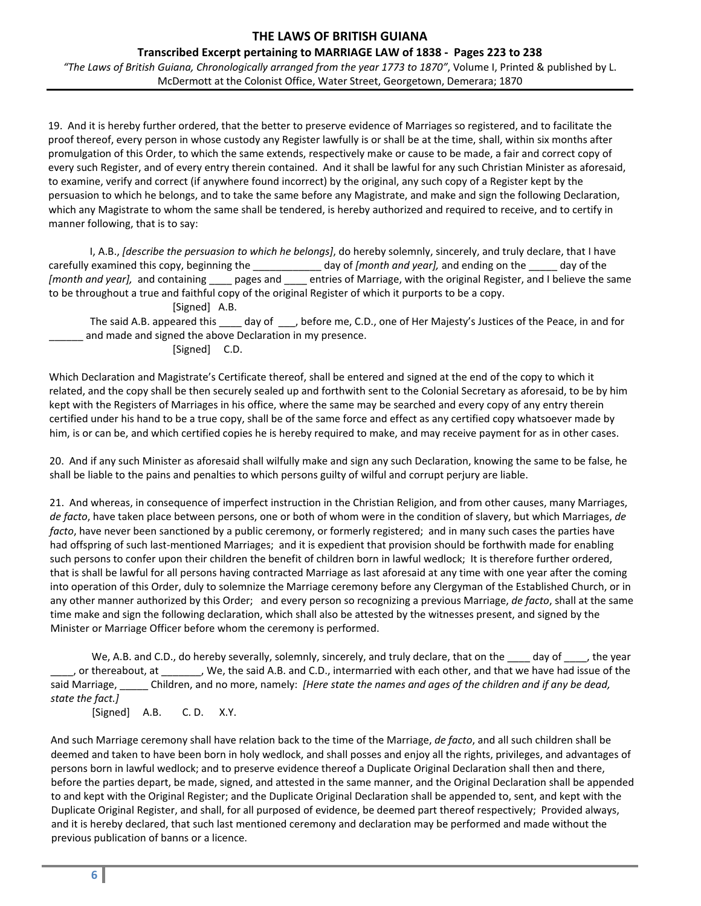## **Transcribed Excerpt pertaining to MARRIAGE LAW of 1838 ‐ Pages 223 to 238**

*"The Laws of British Guiana, Chronologically arranged from the year 1773 to 1870"*, Volume I, Printed & published by L. McDermott at the Colonist Office, Water Street, Georgetown, Demerara; 1870

19. And it is hereby further ordered, that the better to preserve evidence of Marriages so registered, and to facilitate the proof thereof, every person in whose custody any Register lawfully is or shall be at the time, shall, within six months after promulgation of this Order, to which the same extends, respectively make or cause to be made, a fair and correct copy of every such Register, and of every entry therein contained. And it shall be lawful for any such Christian Minister as aforesaid, to examine, verify and correct (if anywhere found incorrect) by the original, any such copy of a Register kept by the persuasion to which he belongs, and to take the same before any Magistrate, and make and sign the following Declaration, which any Magistrate to whom the same shall be tendered, is hereby authorized and required to receive, and to certify in manner following, that is to say:

I, A.B., *[describe the persuasion to which he belongs]*, do hereby solemnly, sincerely, and truly declare, that I have carefully examined this copy, beginning the \_\_\_\_\_\_\_\_\_\_\_\_ day of *[month and year],* and ending on the \_\_\_\_\_ day of the *[month and year],* and containing \_\_\_\_ pages and \_\_\_\_ entries of Marriage, with the original Register, and I believe the same to be throughout a true and faithful copy of the original Register of which it purports to be a copy.

[Signed] A.B.

The said A.B. appeared this \_\_\_\_ day of \_\_\_, before me, C.D., one of Her Majesty's Justices of the Peace, in and for and made and signed the above Declaration in my presence.

[Signed] C.D.

Which Declaration and Magistrate's Certificate thereof, shall be entered and signed at the end of the copy to which it related, and the copy shall be then securely sealed up and forthwith sent to the Colonial Secretary as aforesaid, to be by him kept with the Registers of Marriages in his office, where the same may be searched and every copy of any entry therein certified under his hand to be a true copy, shall be of the same force and effect as any certified copy whatsoever made by him, is or can be, and which certified copies he is hereby required to make, and may receive payment for as in other cases.

20. And if any such Minister as aforesaid shall wilfully make and sign any such Declaration, knowing the same to be false, he shall be liable to the pains and penalties to which persons guilty of wilful and corrupt perjury are liable.

21. And whereas, in consequence of imperfect instruction in the Christian Religion, and from other causes, many Marriages, *de facto*, have taken place between persons, one or both of whom were in the condition of slavery, but which Marriages, *de facto*, have never been sanctioned by a public ceremony, or formerly registered; and in many such cases the parties have had offspring of such last-mentioned Marriages; and it is expedient that provision should be forthwith made for enabling such persons to confer upon their children the benefit of children born in lawful wedlock; It is therefore further ordered, that is shall be lawful for all persons having contracted Marriage as last aforesaid at any time with one year after the coming into operation of this Order, duly to solemnize the Marriage ceremony before any Clergyman of the Established Church, or in any other manner authorized by this Order; and every person so recognizing a previous Marriage, *de facto*, shall at the same time make and sign the following declaration, which shall also be attested by the witnesses present, and signed by the Minister or Marriage Officer before whom the ceremony is performed.

We, A.B. and C.D., do hereby severally, solemnly, sincerely, and truly declare, that on the day of the year \_\_\_\_, or thereabout, at \_\_\_\_\_\_\_, We, the said A.B. and C.D., intermarried with each other, and that we have had issue of the said Marriage, \_\_\_\_\_ Children, and no more, namely: *[Here state the names and ages of the children and if any be dead, state the fact.]* [Signed] A.B. C.D. X.Y.

And such Marriage ceremony shall have relation back to the time of the Marriage, *de facto*, and all such children shall be deemed and taken to have been born in holy wedlock, and shall posses and enjoy all the rights, privileges, and advantages of persons born in lawful wedlock; and to preserve evidence thereof a Duplicate Original Declaration shall then and there, before the parties depart, be made, signed, and attested in the same manner, and the Original Declaration shall be appended to and kept with the Original Register; and the Duplicate Original Declaration shall be appended to, sent, and kept with the Duplicate Original Register, and shall, for all purposed of evidence, be deemed part thereof respectively; Provided always, and it is hereby declared, that such last mentioned ceremony and declaration may be performed and made without the previous publication of banns or a licence.